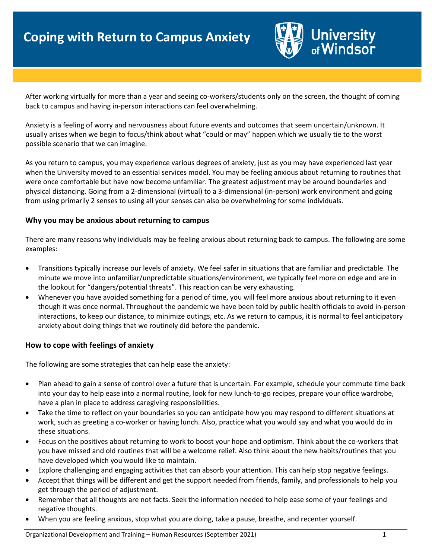

After working virtually for more than a year and seeing co-workers/students only on the screen, the thought of coming back to campus and having in-person interactions can feel overwhelming.

Anxiety is a feeling of worry and nervousness about future events and outcomes that seem uncertain/unknown. It usually arises when we begin to focus/think about what "could or may" happen which we usually tie to the worst possible scenario that we can imagine.

As you return to campus, you may experience various degrees of anxiety, just as you may have experienced last year when the University moved to an essential services model. You may be feeling anxious about returning to routines that were once comfortable but have now become unfamiliar. The greatest adjustment may be around boundaries and physical distancing. Going from a 2-dimensional (virtual) to a 3-dimensional (in-person) work environment and going from using primarily 2 senses to using all your senses can also be overwhelming for some individuals.

## **Why you may be anxious about returning to campus**

There are many reasons why individuals may be feeling anxious about returning back to campus. The following are some examples:

- Transitions typically increase our levels of anxiety. We feel safer in situations that are familiar and predictable. The minute we move into unfamiliar/unpredictable situations/environment, we typically feel more on edge and are in the lookout for "dangers/potential threats". This reaction can be very exhausting.
- Whenever you have avoided something for a period of time, you will feel more anxious about returning to it even though it was once normal. Throughout the pandemic we have been told by public health officials to avoid in-person interactions, to keep our distance, to minimize outings, etc. As we return to campus, it is normal to feel anticipatory anxiety about doing things that we routinely did before the pandemic.

## **How to cope with feelings of anxiety**

The following are some strategies that can help ease the anxiety:

- Plan ahead to gain a sense of control over a future that is uncertain. For example, schedule your commute time back into your day to help ease into a normal routine, look for new lunch-to-go recipes, prepare your office wardrobe, have a plan in place to address caregiving responsibilities.
- Take the time to reflect on your boundaries so you can anticipate how you may respond to different situations at work, such as greeting a co-worker or having lunch. Also, practice what you would say and what you would do in these situations.
- Focus on the positives about returning to work to boost your hope and optimism. Think about the co-workers that you have missed and old routines that will be a welcome relief. Also think about the new habits/routines that you have developed which you would like to maintain.
- Explore challenging and engaging activities that can absorb your attention. This can help stop negative feelings.
- Accept that things will be different and get the support needed from friends, family, and professionals to help you get through the period of adjustment.
- Remember that all thoughts are not facts. Seek the information needed to help ease some of your feelings and negative thoughts.
- When you are feeling anxious, stop what you are doing, take a pause, breathe, and recenter yourself.